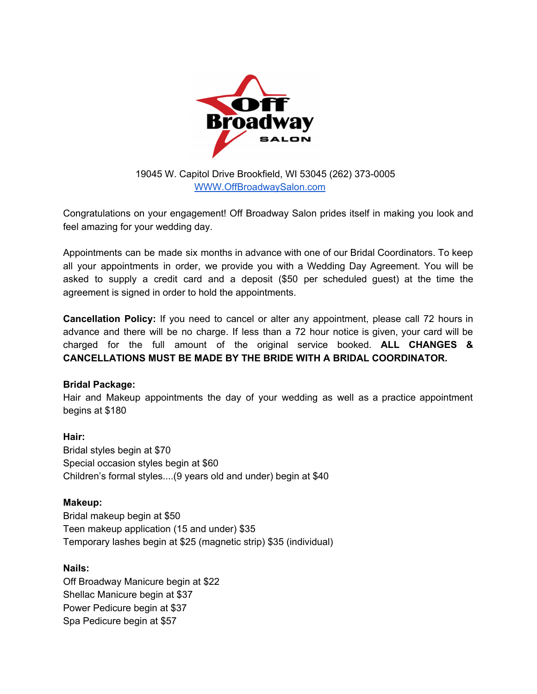

19045 W. Capitol Drive Brookfield, WI 53045 (262) 373-0005 [WWW.OffBroadwaySalon.com](http://www.offbroadwaysalon.com/)

Congratulations on your engagement! Off Broadway Salon prides itself in making you look and feel amazing for your wedding day.

Appointments can be made six months in advance with one of our Bridal Coordinators. To keep all your appointments in order, we provide you with a Wedding Day Agreement. You will be asked to supply a credit card and a deposit (\$50 per scheduled guest) at the time the agreement is signed in order to hold the appointments.

**Cancellation Policy:** If you need to cancel or alter any appointment, please call 72 hours in advance and there will be no charge. If less than a 72 hour notice is given, your card will be charged for the full amount of the original service booked. **ALL CHANGES & CANCELLATIONS MUST BE MADE BY THE BRIDE WITH A BRIDAL COORDINATOR.**

# **Bridal Package:**

Hair and Makeup appointments the day of your wedding as well as a practice appointment begins at \$180

# **Hair:**

Bridal styles begin at \$70 Special occasion styles begin at \$60 Children's formal styles....(9 years old and under) begin at \$40

# **Makeup:**

Bridal makeup begin at \$50 Teen makeup application (15 and under) \$35 Temporary lashes begin at \$25 (magnetic strip) \$35 (individual)

# **Nails:**

Off Broadway Manicure begin at \$22 Shellac Manicure begin at \$37 Power Pedicure begin at \$37 Spa Pedicure begin at \$57